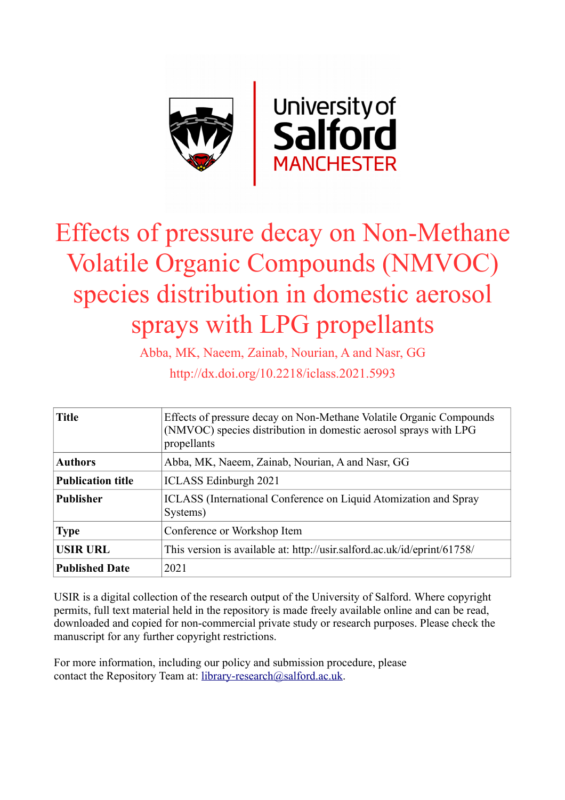

# Effects of pressure decay on Non-Methane Volatile Organic Compounds (NMVOC) species distribution in domestic aerosol sprays with LPG propellants

Abba, MK, Naeem, Zainab, Nourian, A and Nasr, GG http://dx.doi.org/10.2218/iclass.2021.5993

| <b>Title</b>             | Effects of pressure decay on Non-Methane Volatile Organic Compounds<br>(NMVOC) species distribution in domestic aerosol sprays with LPG<br>propellants |  |  |
|--------------------------|--------------------------------------------------------------------------------------------------------------------------------------------------------|--|--|
| <b>Authors</b>           | Abba, MK, Naeem, Zainab, Nourian, A and Nasr, GG                                                                                                       |  |  |
| <b>Publication title</b> | <b>ICLASS</b> Edinburgh 2021                                                                                                                           |  |  |
| <b>Publisher</b>         | ICLASS (International Conference on Liquid Atomization and Spray<br>Systems)                                                                           |  |  |
| <b>Type</b>              | Conference or Workshop Item                                                                                                                            |  |  |
| <b>USIR URL</b>          | This version is available at: http://usir.salford.ac.uk/id/eprint/61758/                                                                               |  |  |
| <b>Published Date</b>    | 2021                                                                                                                                                   |  |  |

USIR is a digital collection of the research output of the University of Salford. Where copyright permits, full text material held in the repository is made freely available online and can be read, downloaded and copied for non-commercial private study or research purposes. Please check the manuscript for any further copyright restrictions.

For more information, including our policy and submission procedure, please contact the Repository Team at: [library-research@salford.ac.uk.](mailto:library-research@salford.ac.uk)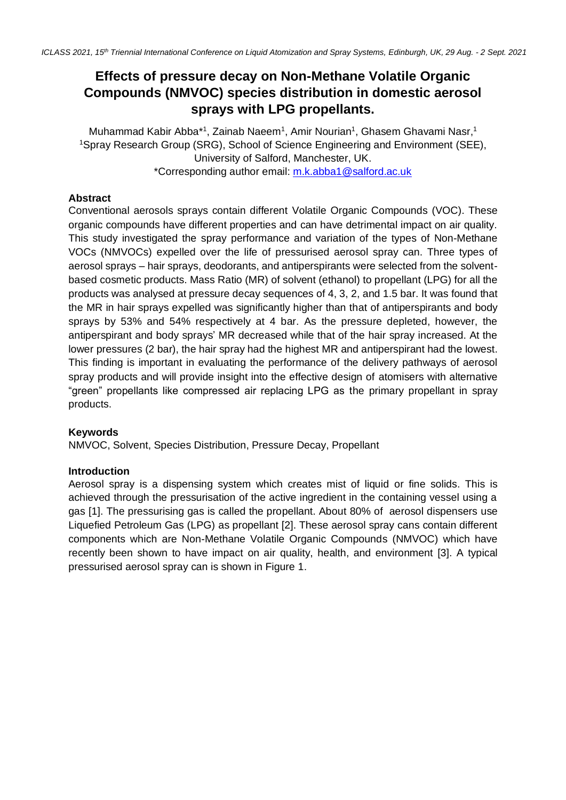# **Effects of pressure decay on Non-Methane Volatile Organic Compounds (NMVOC) species distribution in domestic aerosol sprays with LPG propellants.**

Muhammad Kabir Abba\*1, Zainab Naeem<sup>1</sup>, Amir Nourian<sup>1</sup>, Ghasem Ghavami Nasr,<sup>1</sup> <sup>1</sup>Spray Research Group (SRG), School of Science Engineering and Environment (SEE), University of Salford, Manchester, UK. \*Corresponding author email: [m.k.abba1@salford.ac.uk](mailto:m.k.abba1@salford.ac.uk)

## **Abstract**

Conventional aerosols sprays contain different Volatile Organic Compounds (VOC). These organic compounds have different properties and can have detrimental impact on air quality. This study investigated the spray performance and variation of the types of Non-Methane VOCs (NMVOCs) expelled over the life of pressurised aerosol spray can. Three types of aerosol sprays – hair sprays, deodorants, and antiperspirants were selected from the solventbased cosmetic products. Mass Ratio (MR) of solvent (ethanol) to propellant (LPG) for all the products was analysed at pressure decay sequences of 4, 3, 2, and 1.5 bar. It was found that the MR in hair sprays expelled was significantly higher than that of antiperspirants and body sprays by 53% and 54% respectively at 4 bar. As the pressure depleted, however, the antiperspirant and body sprays' MR decreased while that of the hair spray increased. At the lower pressures (2 bar), the hair spray had the highest MR and antiperspirant had the lowest. This finding is important in evaluating the performance of the delivery pathways of aerosol spray products and will provide insight into the effective design of atomisers with alternative "green" propellants like compressed air replacing LPG as the primary propellant in spray products.

## **Keywords**

NMVOC, Solvent, Species Distribution, Pressure Decay, Propellant

#### **Introduction**

Aerosol spray is a dispensing system which creates mist of liquid or fine solids. This is achieved through the pressurisation of the active ingredient in the containing vessel using a gas [1]. The pressurising gas is called the propellant. About 80% of aerosol dispensers use Liquefied Petroleum Gas (LPG) as propellant [2]. These aerosol spray cans contain different components which are Non-Methane Volatile Organic Compounds (NMVOC) which have recently been shown to have impact on air quality, health, and environment [3]. A typical pressurised aerosol spray can is shown in Figure 1.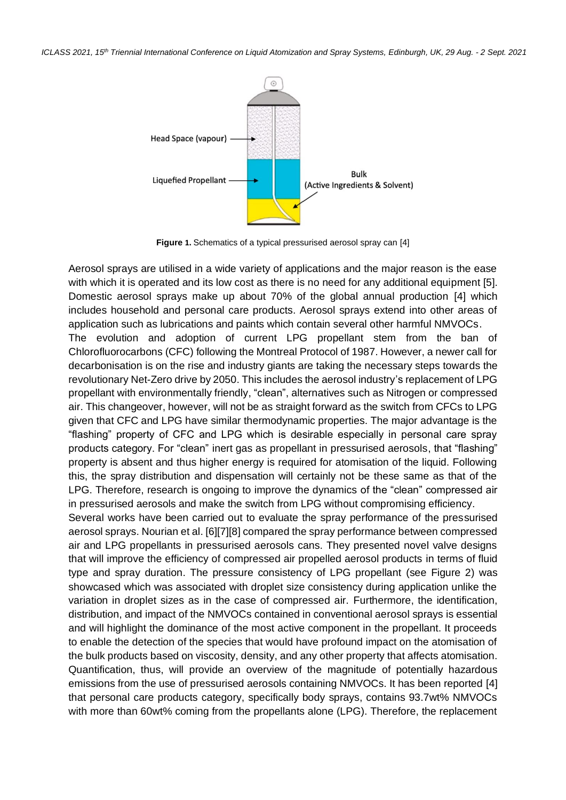*ICLASS 2021, 15 th Triennial International Conference on Liquid Atomization and Spray Systems, Edinburgh, UK, 29 Aug. - 2 Sept. 2021*



**Figure 1.** Schematics of a typical pressurised aerosol spray can [4]

Aerosol sprays are utilised in a wide variety of applications and the major reason is the ease with which it is operated and its low cost as there is no need for any additional equipment [5]. Domestic aerosol sprays make up about 70% of the global annual production [4] which includes household and personal care products. Aerosol sprays extend into other areas of application such as lubrications and paints which contain several other harmful NMVOCs.

The evolution and adoption of current LPG propellant stem from the ban of Chlorofluorocarbons (CFC) following the Montreal Protocol of 1987. However, a newer call for decarbonisation is on the rise and industry giants are taking the necessary steps towards the revolutionary Net-Zero drive by 2050. This includes the aerosol industry's replacement of LPG propellant with environmentally friendly, "clean", alternatives such as Nitrogen or compressed air. This changeover, however, will not be as straight forward as the switch from CFCs to LPG given that CFC and LPG have similar thermodynamic properties. The major advantage is the "flashing" property of CFC and LPG which is desirable especially in personal care spray products category. For "clean" inert gas as propellant in pressurised aerosols, that "flashing" property is absent and thus higher energy is required for atomisation of the liquid. Following this, the spray distribution and dispensation will certainly not be these same as that of the LPG. Therefore, research is ongoing to improve the dynamics of the "clean" compressed air in pressurised aerosols and make the switch from LPG without compromising efficiency.

Several works have been carried out to evaluate the spray performance of the pressurised aerosol sprays. Nourian et al. [6][7][8] compared the spray performance between compressed air and LPG propellants in pressurised aerosols cans. They presented novel valve designs that will improve the efficiency of compressed air propelled aerosol products in terms of fluid type and spray duration. The pressure consistency of LPG propellant (see Figure 2) was showcased which was associated with droplet size consistency during application unlike the variation in droplet sizes as in the case of compressed air. Furthermore, the identification, distribution, and impact of the NMVOCs contained in conventional aerosol sprays is essential and will highlight the dominance of the most active component in the propellant. It proceeds to enable the detection of the species that would have profound impact on the atomisation of the bulk products based on viscosity, density, and any other property that affects atomisation. Quantification, thus, will provide an overview of the magnitude of potentially hazardous emissions from the use of pressurised aerosols containing NMVOCs. It has been reported [4] that personal care products category, specifically body sprays, contains 93.7wt% NMVOCs with more than 60wt% coming from the propellants alone (LPG). Therefore, the replacement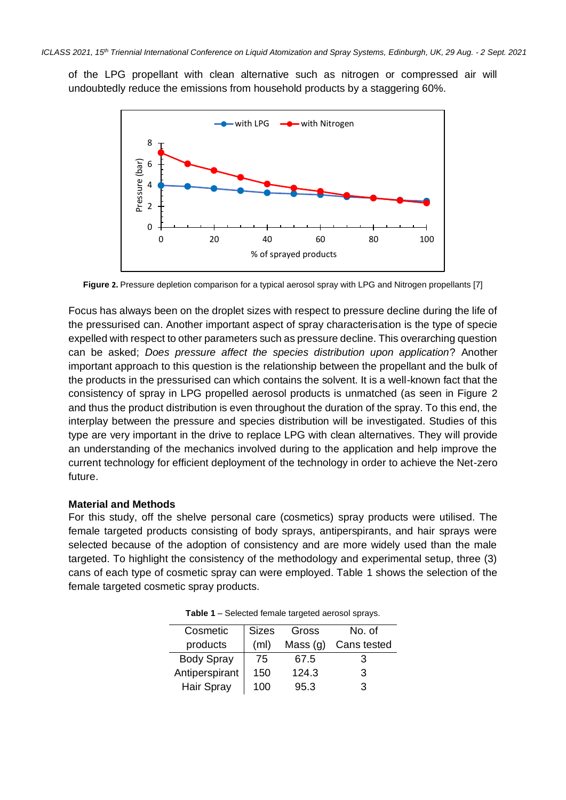of the LPG propellant with clean alternative such as nitrogen or compressed air will undoubtedly reduce the emissions from household products by a staggering 60%.



**Figure 2.** Pressure depletion comparison for a typical aerosol spray with LPG and Nitrogen propellants [7]

Focus has always been on the droplet sizes with respect to pressure decline during the life of the pressurised can. Another important aspect of spray characterisation is the type of specie expelled with respect to other parameters such as pressure decline. This overarching question can be asked; *Does pressure affect the species distribution upon application*? Another important approach to this question is the relationship between the propellant and the bulk of the products in the pressurised can which contains the solvent. It is a well-known fact that the consistency of spray in LPG propelled aerosol products is unmatched (as seen in Figure 2 and thus the product distribution is even throughout the duration of the spray. To this end, the interplay between the pressure and species distribution will be investigated. Studies of this type are very important in the drive to replace LPG with clean alternatives. They will provide an understanding of the mechanics involved during to the application and help improve the current technology for efficient deployment of the technology in order to achieve the Net-zero future.

#### **Material and Methods**

For this study, off the shelve personal care (cosmetics) spray products were utilised. The female targeted products consisting of body sprays, antiperspirants, and hair sprays were selected because of the adoption of consistency and are more widely used than the male targeted. To highlight the consistency of the methodology and experimental setup, three (3) cans of each type of cosmetic spray can were employed. Table 1 shows the selection of the female targeted cosmetic spray products.

| Cosmetic          | <b>Sizes</b>      | Gross      | No. of      |
|-------------------|-------------------|------------|-------------|
| products          | (m <sub>l</sub> ) | Mass $(g)$ | Cans tested |
| <b>Body Spray</b> | 75                | 67.5       | З           |
| Antiperspirant    | 150               | 124.3      | 3           |
| <b>Hair Spray</b> | 100               | 95.3       | З           |

**Table 1** – Selected female targeted aerosol sprays.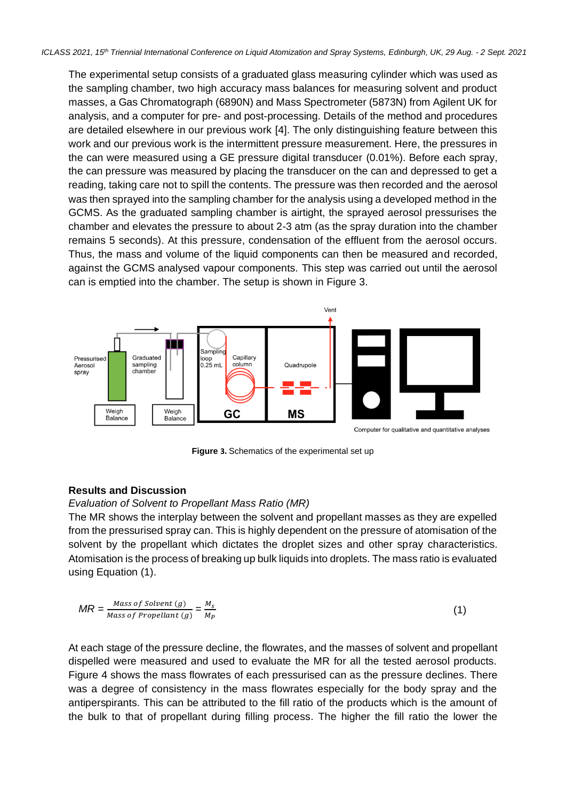The experimental setup consists of a graduated glass measuring cylinder which was used as the sampling chamber, two high accuracy mass balances for measuring solvent and product masses, a Gas Chromatograph (6890N) and Mass Spectrometer (5873N) from Agilent UK for analysis, and a computer for pre- and post-processing. Details of the method and procedures are detailed elsewhere in our previous work [4]. The only distinguishing feature between this work and our previous work is the intermittent pressure measurement. Here, the pressures in the can were measured using a GE pressure digital transducer (0.01%). Before each spray, the can pressure was measured by placing the transducer on the can and depressed to get a reading, taking care not to spill the contents. The pressure was then recorded and the aerosol was then sprayed into the sampling chamber for the analysis using a developed method in the GCMS. As the graduated sampling chamber is airtight, the sprayed aerosol pressurises the chamber and elevates the pressure to about 2-3 atm (as the spray duration into the chamber remains 5 seconds). At this pressure, condensation of the effluent from the aerosol occurs. Thus, the mass and volume of the liquid components can then be measured and recorded, against the GCMS analysed vapour components. This step was carried out until the aerosol can is emptied into the chamber. The setup is shown in Figure 3.



**Figure 3.** Schematics of the experimental set up

#### **Results and Discussion**

#### *Evaluation of Solvent to Propellant Mass Ratio (MR)*

The MR shows the interplay between the solvent and propellant masses as they are expelled from the pressurised spray can. This is highly dependent on the pressure of atomisation of the solvent by the propellant which dictates the droplet sizes and other spray characteristics. Atomisation is the process of breaking up bulk liquids into droplets. The mass ratio is evaluated using Equation (1).

$$
MR = \frac{Mass\ of\ Southern\ (g)}{Mass\ of\ propellant\ (g)} = \frac{M_s}{M_P}
$$
 (1)

At each stage of the pressure decline, the flowrates, and the masses of solvent and propellant dispelled were measured and used to evaluate the MR for all the tested aerosol products. Figure 4 shows the mass flowrates of each pressurised can as the pressure declines. There was a degree of consistency in the mass flowrates especially for the body spray and the antiperspirants. This can be attributed to the fill ratio of the products which is the amount of the bulk to that of propellant during filling process. The higher the fill ratio the lower the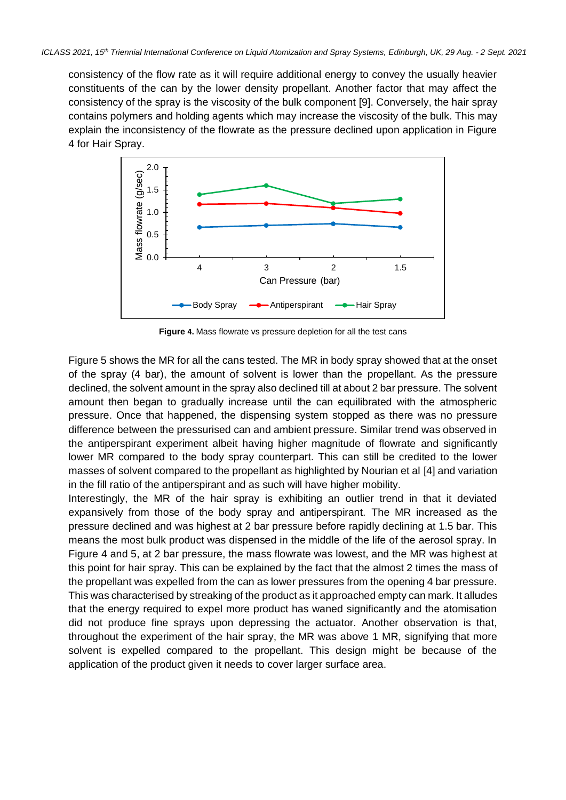consistency of the flow rate as it will require additional energy to convey the usually heavier constituents of the can by the lower density propellant. Another factor that may affect the consistency of the spray is the viscosity of the bulk component [9]. Conversely, the hair spray contains polymers and holding agents which may increase the viscosity of the bulk. This may explain the inconsistency of the flowrate as the pressure declined upon application in Figure 4 for Hair Spray.



**Figure 4.** Mass flowrate vs pressure depletion for all the test cans

Figure 5 shows the MR for all the cans tested. The MR in body spray showed that at the onset of the spray (4 bar), the amount of solvent is lower than the propellant. As the pressure declined, the solvent amount in the spray also declined till at about 2 bar pressure. The solvent amount then began to gradually increase until the can equilibrated with the atmospheric pressure. Once that happened, the dispensing system stopped as there was no pressure difference between the pressurised can and ambient pressure. Similar trend was observed in the antiperspirant experiment albeit having higher magnitude of flowrate and significantly lower MR compared to the body spray counterpart. This can still be credited to the lower masses of solvent compared to the propellant as highlighted by Nourian et al [4] and variation in the fill ratio of the antiperspirant and as such will have higher mobility.

Interestingly, the MR of the hair spray is exhibiting an outlier trend in that it deviated expansively from those of the body spray and antiperspirant. The MR increased as the pressure declined and was highest at 2 bar pressure before rapidly declining at 1.5 bar. This means the most bulk product was dispensed in the middle of the life of the aerosol spray. In Figure 4 and 5, at 2 bar pressure, the mass flowrate was lowest, and the MR was highest at this point for hair spray. This can be explained by the fact that the almost 2 times the mass of the propellant was expelled from the can as lower pressures from the opening 4 bar pressure. This was characterised by streaking of the product as it approached empty can mark. It alludes that the energy required to expel more product has waned significantly and the atomisation did not produce fine sprays upon depressing the actuator. Another observation is that, throughout the experiment of the hair spray, the MR was above 1 MR, signifying that more solvent is expelled compared to the propellant. This design might be because of the application of the product given it needs to cover larger surface area.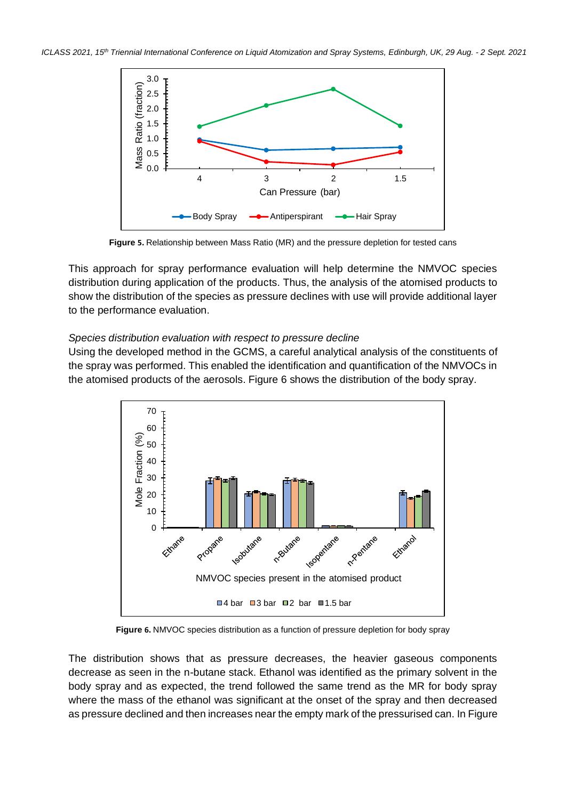

**Figure 5.** Relationship between Mass Ratio (MR) and the pressure depletion for tested cans

This approach for spray performance evaluation will help determine the NMVOC species distribution during application of the products. Thus, the analysis of the atomised products to show the distribution of the species as pressure declines with use will provide additional layer to the performance evaluation.

#### *Species distribution evaluation with respect to pressure decline*

Using the developed method in the GCMS, a careful analytical analysis of the constituents of the spray was performed. This enabled the identification and quantification of the NMVOCs in the atomised products of the aerosols. Figure 6 shows the distribution of the body spray.



**Figure 6.** NMVOC species distribution as a function of pressure depletion for body spray

The distribution shows that as pressure decreases, the heavier gaseous components decrease as seen in the n-butane stack. Ethanol was identified as the primary solvent in the body spray and as expected, the trend followed the same trend as the MR for body spray where the mass of the ethanol was significant at the onset of the spray and then decreased as pressure declined and then increases near the empty mark of the pressurised can. In Figure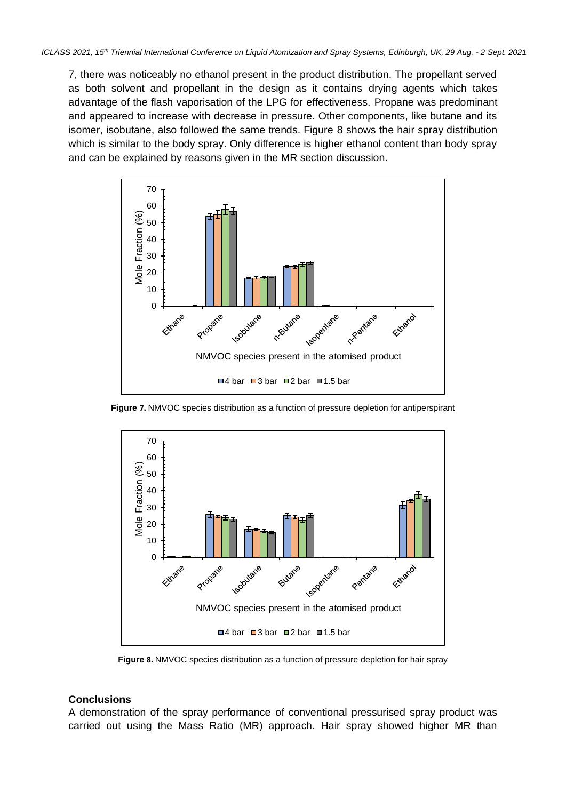7, there was noticeably no ethanol present in the product distribution. The propellant served as both solvent and propellant in the design as it contains drying agents which takes advantage of the flash vaporisation of the LPG for effectiveness. Propane was predominant and appeared to increase with decrease in pressure. Other components, like butane and its isomer, isobutane, also followed the same trends. Figure 8 shows the hair spray distribution which is similar to the body spray. Only difference is higher ethanol content than body spray and can be explained by reasons given in the MR section discussion.



**Figure 7.** NMVOC species distribution as a function of pressure depletion for antiperspirant



**Figure 8.** NMVOC species distribution as a function of pressure depletion for hair spray

#### **Conclusions**

A demonstration of the spray performance of conventional pressurised spray product was carried out using the Mass Ratio (MR) approach. Hair spray showed higher MR than